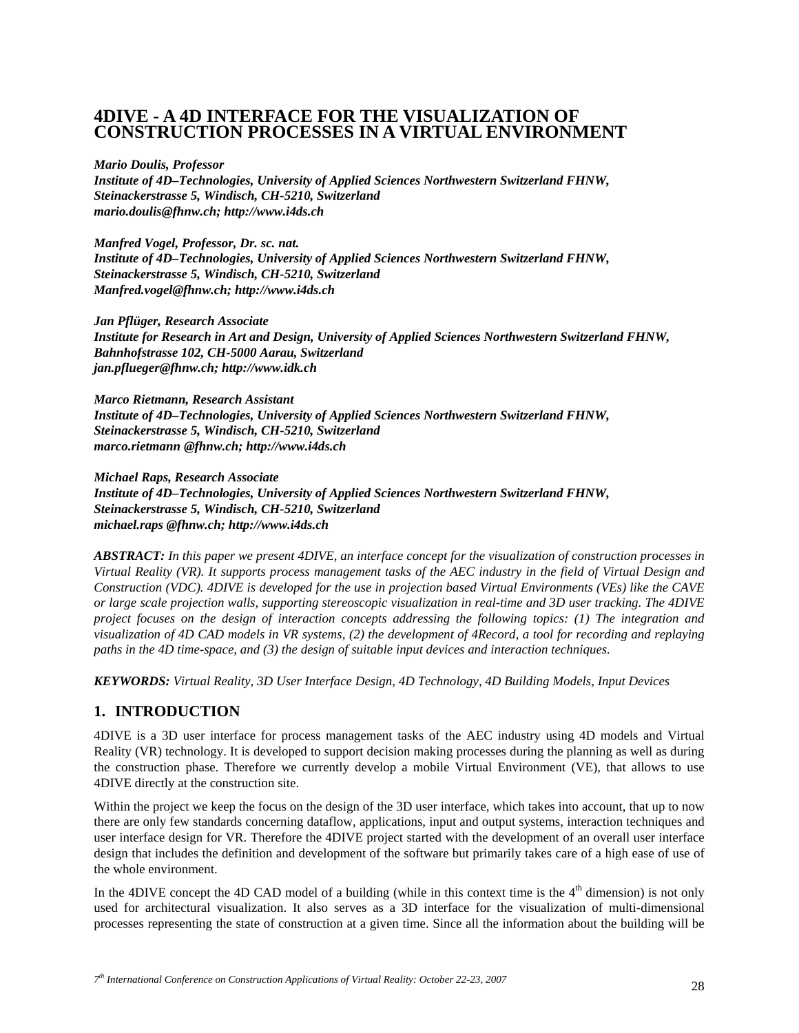# **4DIVE - A 4D INTERFACE FOR THE VISUALIZATION OF CONSTRUCTION PROCESSES IN A VIRTUAL ENVIRONMENT**

#### *Mario Doulis, Professor*

*Institute of 4D–Technologies, University of Applied Sciences Northwestern Switzerland FHNW, Steinackerstrasse 5, Windisch, CH-5210, Switzerland mario.doulis@fhnw.ch; http://www.i4ds.ch* 

*Manfred Vogel, Professor, Dr. sc. nat. Institute of 4D–Technologies, University of Applied Sciences Northwestern Switzerland FHNW, Steinackerstrasse 5, Windisch, CH-5210, Switzerland Manfred.vogel@fhnw.ch; http://www.i4ds.ch* 

*Jan Pflüger, Research Associate Institute for Research in Art and Design, University of Applied Sciences Northwestern Switzerland FHNW, Bahnhofstrasse 102, CH-5000 Aarau, Switzerland jan.pflueger@fhnw.ch; http://www.idk.ch* 

*Marco Rietmann, Research Assistant Institute of 4D–Technologies, University of Applied Sciences Northwestern Switzerland FHNW, Steinackerstrasse 5, Windisch, CH-5210, Switzerland marco.rietmann @fhnw.ch; http://www.i4ds.ch* 

*Michael Raps, Research Associate Institute of 4D–Technologies, University of Applied Sciences Northwestern Switzerland FHNW, Steinackerstrasse 5, Windisch, CH-5210, Switzerland michael.raps @fhnw.ch; http://www.i4ds.ch* 

*ABSTRACT: In this paper we present 4DIVE, an interface concept for the visualization of construction processes in Virtual Reality (VR). It supports process management tasks of the AEC industry in the field of Virtual Design and Construction (VDC). 4DIVE is developed for the use in projection based Virtual Environments (VEs) like the CAVE or large scale projection walls, supporting stereoscopic visualization in real-time and 3D user tracking. The 4DIVE project focuses on the design of interaction concepts addressing the following topics: (1) The integration and visualization of 4D CAD models in VR systems, (2) the development of 4Record, a tool for recording and replaying paths in the 4D time-space, and (3) the design of suitable input devices and interaction techniques.* 

*KEYWORDS: Virtual Reality, 3D User Interface Design, 4D Technology, 4D Building Models, Input Devices* 

## **1. INTRODUCTION**

4DIVE is a 3D user interface for process management tasks of the AEC industry using 4D models and Virtual Reality (VR) technology. It is developed to support decision making processes during the planning as well as during the construction phase. Therefore we currently develop a mobile Virtual Environment (VE), that allows to use 4DIVE directly at the construction site.

Within the project we keep the focus on the design of the 3D user interface, which takes into account, that up to now there are only few standards concerning dataflow, applications, input and output systems, interaction techniques and user interface design for VR. Therefore the 4DIVE project started with the development of an overall user interface design that includes the definition and development of the software but primarily takes care of a high ease of use of the whole environment.

In the 4DIVE concept the 4D CAD model of a building (while in this context time is the  $4<sup>th</sup>$  dimension) is not only used for architectural visualization. It also serves as a 3D interface for the visualization of multi-dimensional processes representing the state of construction at a given time. Since all the information about the building will be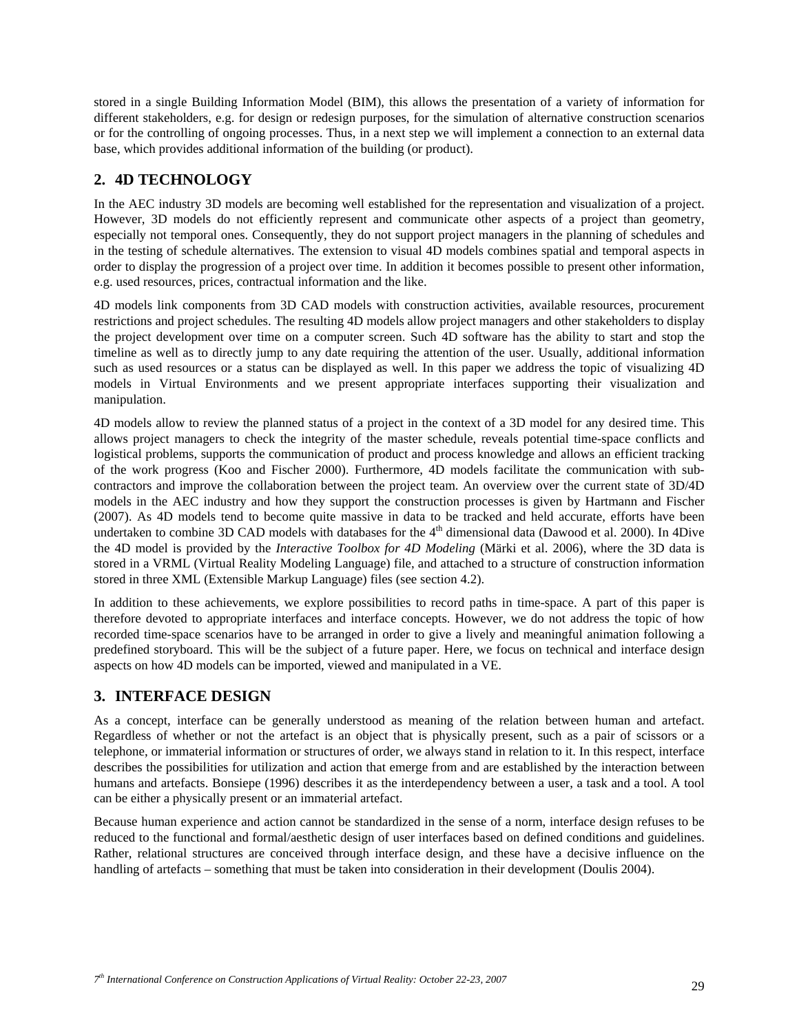stored in a single Building Information Model (BIM), this allows the presentation of a variety of information for different stakeholders, e.g. for design or redesign purposes, for the simulation of alternative construction scenarios or for the controlling of ongoing processes. Thus, in a next step we will implement a connection to an external data base, which provides additional information of the building (or product).

# **2. 4D TECHNOLOGY**

In the AEC industry 3D models are becoming well established for the representation and visualization of a project. However, 3D models do not efficiently represent and communicate other aspects of a project than geometry, especially not temporal ones. Consequently, they do not support project managers in the planning of schedules and in the testing of schedule alternatives. The extension to visual 4D models combines spatial and temporal aspects in order to display the progression of a project over time. In addition it becomes possible to present other information, e.g. used resources, prices, contractual information and the like.

4D models link components from 3D CAD models with construction activities, available resources, procurement restrictions and project schedules. The resulting 4D models allow project managers and other stakeholders to display the project development over time on a computer screen. Such 4D software has the ability to start and stop the timeline as well as to directly jump to any date requiring the attention of the user. Usually, additional information such as used resources or a status can be displayed as well. In this paper we address the topic of visualizing 4D models in Virtual Environments and we present appropriate interfaces supporting their visualization and manipulation.

4D models allow to review the planned status of a project in the context of a 3D model for any desired time. This allows project managers to check the integrity of the master schedule, reveals potential time-space conflicts and logistical problems, supports the communication of product and process knowledge and allows an efficient tracking of the work progress (Koo and Fischer 2000). Furthermore, 4D models facilitate the communication with subcontractors and improve the collaboration between the project team. An overview over the current state of 3D/4D models in the AEC industry and how they support the construction processes is given by Hartmann and Fischer (2007). As 4D models tend to become quite massive in data to be tracked and held accurate, efforts have been undertaken to combine 3D CAD models with databases for the 4<sup>th</sup> dimensional data (Dawood et al. 2000). In 4Dive the 4D model is provided by the *Interactive Toolbox for 4D Modeling* (Märki et al. 2006), where the 3D data is stored in a VRML (Virtual Reality Modeling Language) file, and attached to a structure of construction information stored in three XML (Extensible Markup Language) files (see section 4.2).

In addition to these achievements, we explore possibilities to record paths in time-space. A part of this paper is therefore devoted to appropriate interfaces and interface concepts. However, we do not address the topic of how recorded time-space scenarios have to be arranged in order to give a lively and meaningful animation following a predefined storyboard. This will be the subject of a future paper. Here, we focus on technical and interface design aspects on how 4D models can be imported, viewed and manipulated in a VE.

# **3. INTERFACE DESIGN**

As a concept, interface can be generally understood as meaning of the relation between human and artefact. Regardless of whether or not the artefact is an object that is physically present, such as a pair of scissors or a telephone, or immaterial information or structures of order, we always stand in relation to it. In this respect, interface describes the possibilities for utilization and action that emerge from and are established by the interaction between humans and artefacts. Bonsiepe (1996) describes it as the interdependency between a user, a task and a tool. A tool can be either a physically present or an immaterial artefact.

Because human experience and action cannot be standardized in the sense of a norm, interface design refuses to be reduced to the functional and formal/aesthetic design of user interfaces based on defined conditions and guidelines. Rather, relational structures are conceived through interface design, and these have a decisive influence on the handling of artefacts – something that must be taken into consideration in their development (Doulis 2004).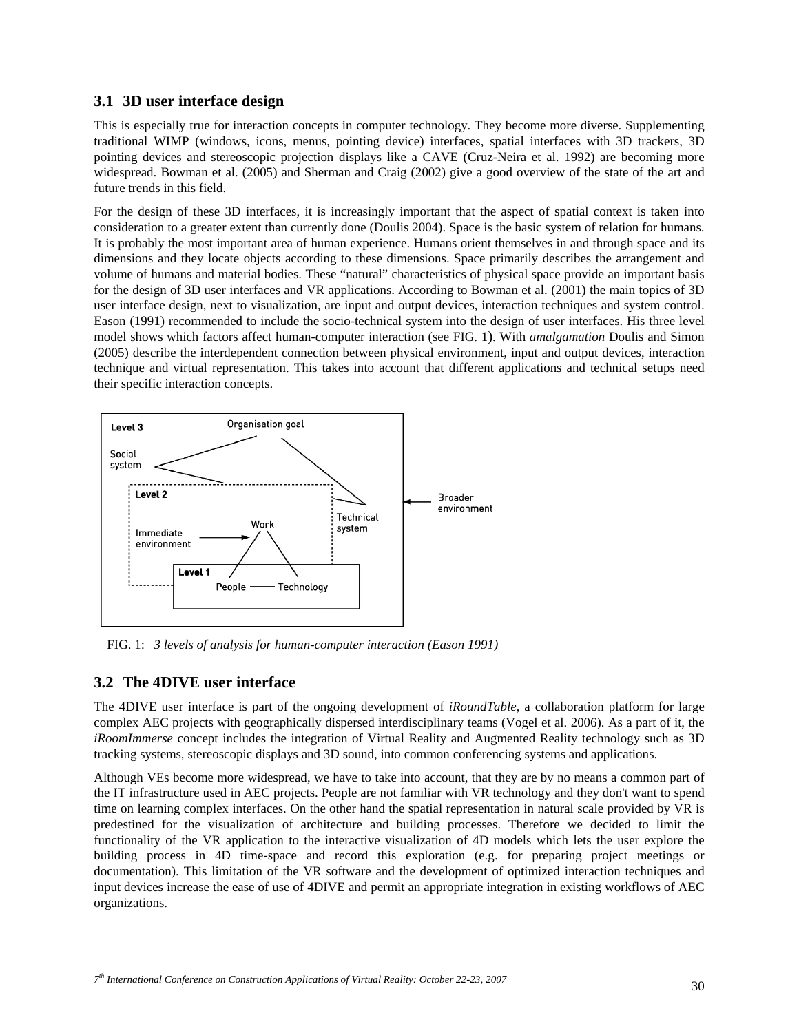## **3.1 3D user interface design**

This is especially true for interaction concepts in computer technology. They become more diverse. Supplementing traditional WIMP (windows, icons, menus, pointing device) interfaces, spatial interfaces with 3D trackers, 3D pointing devices and stereoscopic projection displays like a CAVE (Cruz-Neira et al. 1992) are becoming more widespread. Bowman et al. (2005) and Sherman and Craig (2002) give a good overview of the state of the art and future trends in this field.

For the design of these 3D interfaces, it is increasingly important that the aspect of spatial context is taken into consideration to a greater extent than currently done (Doulis 2004). Space is the basic system of relation for humans. It is probably the most important area of human experience. Humans orient themselves in and through space and its dimensions and they locate objects according to these dimensions. Space primarily describes the arrangement and volume of humans and material bodies. These "natural" characteristics of physical space provide an important basis for the design of 3D user interfaces and VR applications. According to Bowman et al. (2001) the main topics of 3D user interface design, next to visualization, are input and output devices, interaction techniques and system control. Eason (1991) recommended to include the socio-technical system into the design of user interfaces. His three level model shows which factors affect human-computer interaction (see FIG. 1). With *amalgamation* Doulis and Simon (2005) describe the interdependent connection between physical environment, input and output devices, interaction technique and virtual representation. This takes into account that different applications and technical setups need their specific interaction concepts.



FIG. 1: *3 levels of analysis for human-computer interaction (Eason 1991)* 

## **3.2 The 4DIVE user interface**

The 4DIVE user interface is part of the ongoing development of *iRoundTable*, a collaboration platform for large complex AEC projects with geographically dispersed interdisciplinary teams (Vogel et al. 2006). As a part of it, the *iRoomImmerse* concept includes the integration of Virtual Reality and Augmented Reality technology such as 3D tracking systems, stereoscopic displays and 3D sound, into common conferencing systems and applications.

Although VEs become more widespread, we have to take into account, that they are by no means a common part of the IT infrastructure used in AEC projects. People are not familiar with VR technology and they don't want to spend time on learning complex interfaces. On the other hand the spatial representation in natural scale provided by VR is predestined for the visualization of architecture and building processes. Therefore we decided to limit the functionality of the VR application to the interactive visualization of 4D models which lets the user explore the building process in 4D time-space and record this exploration (e.g. for preparing project meetings or documentation). This limitation of the VR software and the development of optimized interaction techniques and input devices increase the ease of use of 4DIVE and permit an appropriate integration in existing workflows of AEC organizations.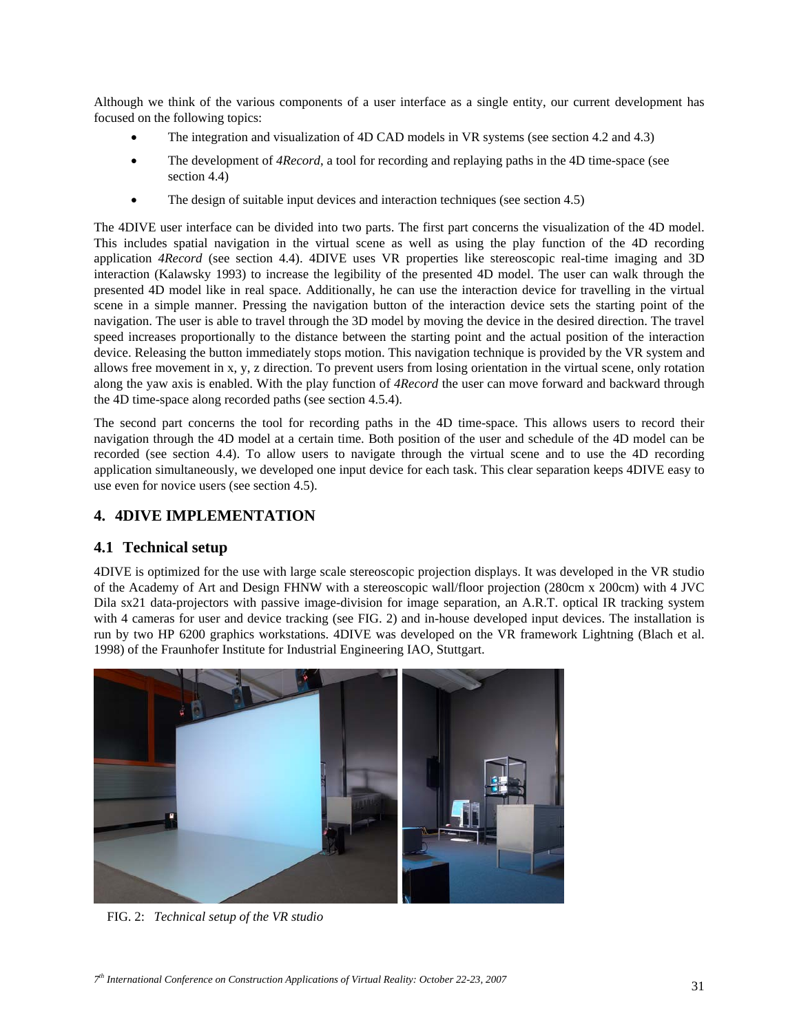Although we think of the various components of a user interface as a single entity, our current development has focused on the following topics:

- The integration and visualization of 4D CAD models in VR systems (see section 4.2 and 4.3)
- The development of *4Record*, a tool for recording and replaying paths in the 4D time-space (see section 4.4)
- The design of suitable input devices and interaction techniques (see section 4.5)

The 4DIVE user interface can be divided into two parts. The first part concerns the visualization of the 4D model. This includes spatial navigation in the virtual scene as well as using the play function of the 4D recording application *4Record* (see section 4.4). 4DIVE uses VR properties like stereoscopic real-time imaging and 3D interaction (Kalawsky 1993) to increase the legibility of the presented 4D model. The user can walk through the presented 4D model like in real space. Additionally, he can use the interaction device for travelling in the virtual scene in a simple manner. Pressing the navigation button of the interaction device sets the starting point of the navigation. The user is able to travel through the 3D model by moving the device in the desired direction. The travel speed increases proportionally to the distance between the starting point and the actual position of the interaction device. Releasing the button immediately stops motion. This navigation technique is provided by the VR system and allows free movement in x, y, z direction. To prevent users from losing orientation in the virtual scene, only rotation along the yaw axis is enabled. With the play function of *4Record* the user can move forward and backward through the 4D time-space along recorded paths (see section 4.5.4).

The second part concerns the tool for recording paths in the 4D time-space. This allows users to record their navigation through the 4D model at a certain time. Both position of the user and schedule of the 4D model can be recorded (see section 4.4). To allow users to navigate through the virtual scene and to use the 4D recording application simultaneously, we developed one input device for each task. This clear separation keeps 4DIVE easy to use even for novice users (see section 4.5).

# **4. 4DIVE IMPLEMENTATION**

## **4.1 Technical setup**

4DIVE is optimized for the use with large scale stereoscopic projection displays. It was developed in the VR studio of the Academy of Art and Design FHNW with a stereoscopic wall/floor projection (280cm x 200cm) with 4 JVC Dila sx21 data-projectors with passive image-division for image separation, an A.R.T. optical IR tracking system with 4 cameras for user and device tracking (see FIG. 2) and in-house developed input devices. The installation is run by two HP 6200 graphics workstations. 4DIVE was developed on the VR framework Lightning (Blach et al. 1998) of the Fraunhofer Institute for Industrial Engineering IAO, Stuttgart.



FIG. 2: *Technical setup of the VR studio*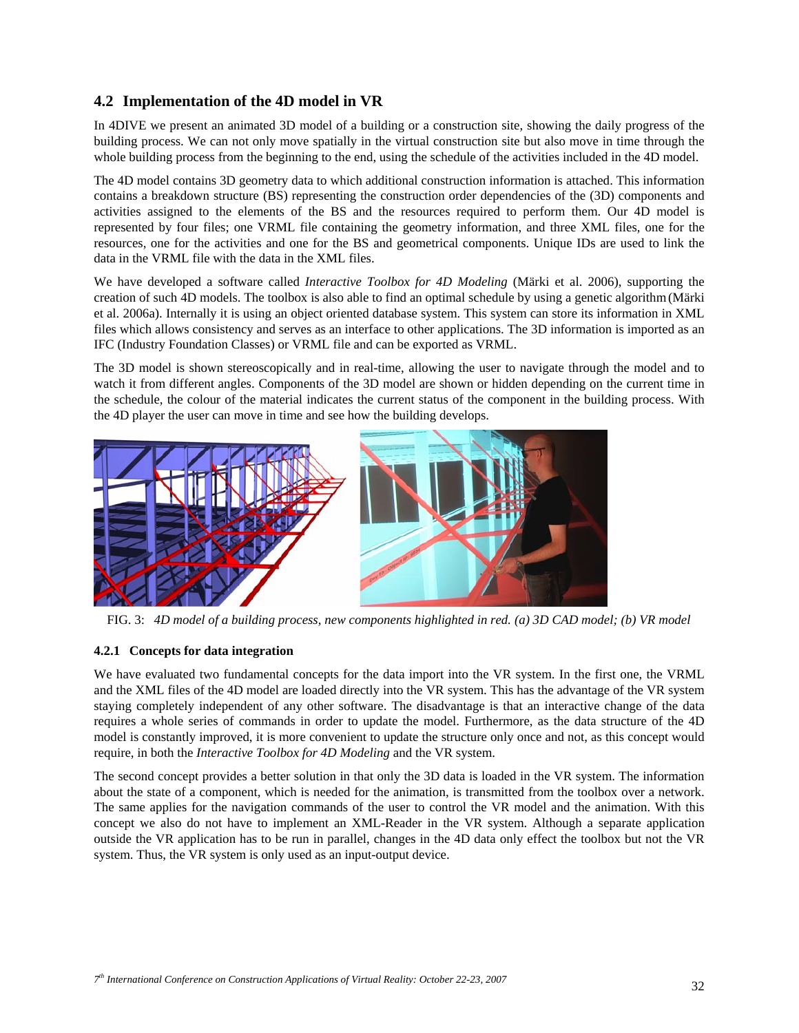## **4.2 Implementation of the 4D model in VR**

In 4DIVE we present an animated 3D model of a building or a construction site, showing the daily progress of the building process. We can not only move spatially in the virtual construction site but also move in time through the whole building process from the beginning to the end, using the schedule of the activities included in the 4D model.

The 4D model contains 3D geometry data to which additional construction information is attached. This information contains a breakdown structure (BS) representing the construction order dependencies of the (3D) components and activities assigned to the elements of the BS and the resources required to perform them. Our 4D model is represented by four files; one VRML file containing the geometry information, and three XML files, one for the resources, one for the activities and one for the BS and geometrical components. Unique IDs are used to link the data in the VRML file with the data in the XML files.

We have developed a software called *Interactive Toolbox for 4D Modeling* (Märki et al. 2006), supporting the creation of such 4D models. The toolbox is also able to find an optimal schedule by using a genetic algorithm(Märki et al. 2006a). Internally it is using an object oriented database system. This system can store its information in XML files which allows consistency and serves as an interface to other applications. The 3D information is imported as an IFC (Industry Foundation Classes) or VRML file and can be exported as VRML.

The 3D model is shown stereoscopically and in real-time, allowing the user to navigate through the model and to watch it from different angles. Components of the 3D model are shown or hidden depending on the current time in the schedule, the colour of the material indicates the current status of the component in the building process. With the 4D player the user can move in time and see how the building develops.



FIG. 3: *4D model of a building process, new components highlighted in red. (a) 3D CAD model; (b) VR model* 

### **4.2.1 Concepts for data integration**

We have evaluated two fundamental concepts for the data import into the VR system. In the first one, the VRML and the XML files of the 4D model are loaded directly into the VR system. This has the advantage of the VR system staying completely independent of any other software. The disadvantage is that an interactive change of the data requires a whole series of commands in order to update the model. Furthermore, as the data structure of the 4D model is constantly improved, it is more convenient to update the structure only once and not, as this concept would require, in both the *Interactive Toolbox for 4D Modeling* and the VR system.

The second concept provides a better solution in that only the 3D data is loaded in the VR system. The information about the state of a component, which is needed for the animation, is transmitted from the toolbox over a network. The same applies for the navigation commands of the user to control the VR model and the animation. With this concept we also do not have to implement an XML-Reader in the VR system. Although a separate application outside the VR application has to be run in parallel, changes in the 4D data only effect the toolbox but not the VR system. Thus, the VR system is only used as an input-output device.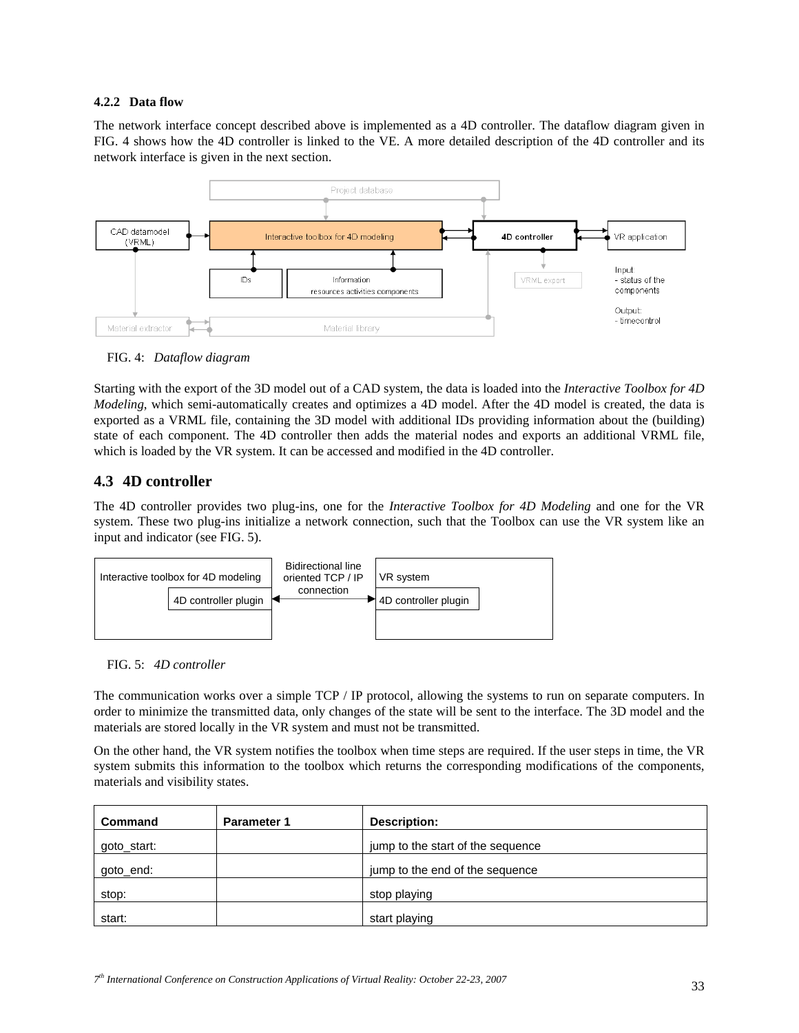#### **4.2.2 Data flow**

The network interface concept described above is implemented as a 4D controller. The dataflow diagram given in FIG. 4 shows how the 4D controller is linked to the VE. A more detailed description of the 4D controller and its network interface is given in the next section.



FIG. 4: *Dataflow diagram* 

Starting with the export of the 3D model out of a CAD system, the data is loaded into the *Interactive Toolbox for 4D Modeling*, which semi-automatically creates and optimizes a 4D model. After the 4D model is created, the data is exported as a VRML file, containing the 3D model with additional IDs providing information about the (building) state of each component. The 4D controller then adds the material nodes and exports an additional VRML file, which is loaded by the VR system. It can be accessed and modified in the 4D controller.

## **4.3 4D controller**

The 4D controller provides two plug-ins, one for the *Interactive Toolbox for 4D Modeling* and one for the VR system. These two plug-ins initialize a network connection, such that the Toolbox can use the VR system like an input and indicator (see FIG. 5).





The communication works over a simple TCP / IP protocol, allowing the systems to run on separate computers. In order to minimize the transmitted data, only changes of the state will be sent to the interface. The 3D model and the materials are stored locally in the VR system and must not be transmitted.

On the other hand, the VR system notifies the toolbox when time steps are required. If the user steps in time, the VR system submits this information to the toolbox which returns the corresponding modifications of the components, materials and visibility states.

| <b>Command</b> | <b>Parameter 1</b> | Description:                      |  |
|----------------|--------------------|-----------------------------------|--|
| goto_start:    |                    | jump to the start of the sequence |  |
| goto_end:      |                    | jump to the end of the sequence   |  |
| stop:          |                    | stop playing                      |  |
| start:         |                    | start playing                     |  |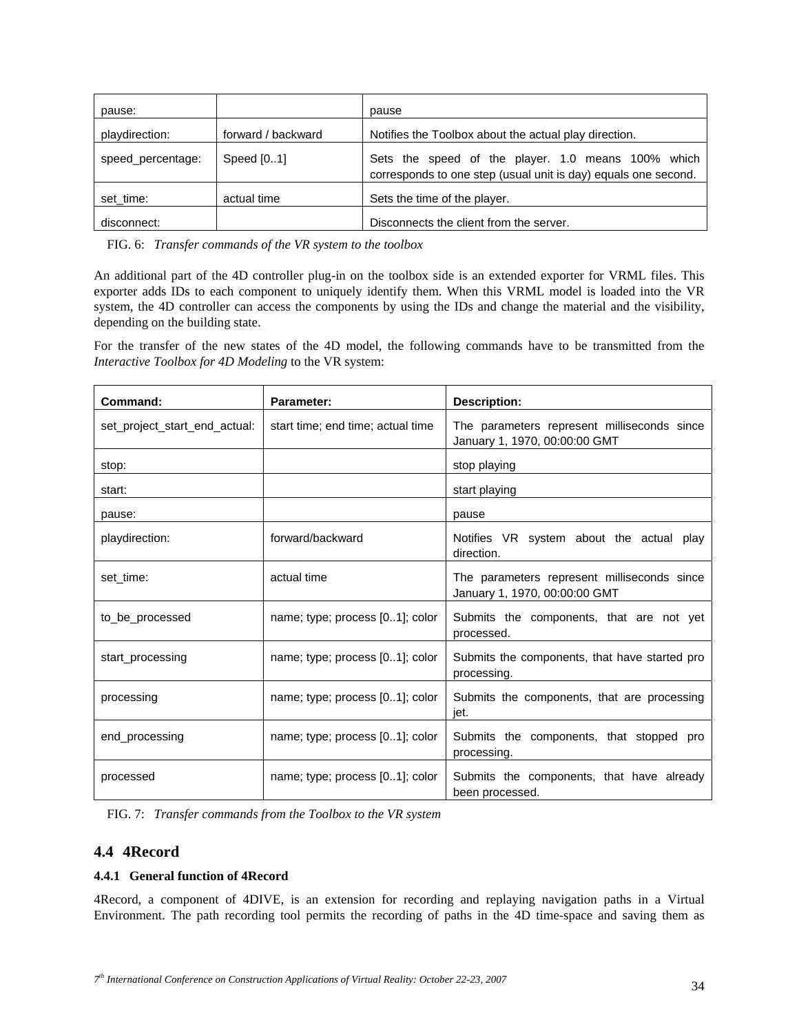| pause:            |                    | pause                                                                                                                |  |
|-------------------|--------------------|----------------------------------------------------------------------------------------------------------------------|--|
| playdirection:    | forward / backward | Notifies the Toolbox about the actual play direction.                                                                |  |
| speed_percentage: | Speed [01]         | Sets the speed of the player. 1.0 means 100% which<br>corresponds to one step (usual unit is day) equals one second. |  |
| set time:         | actual time        | Sets the time of the player.                                                                                         |  |
| disconnect:       |                    | Disconnects the client from the server.                                                                              |  |

FIG. 6: *Transfer commands of the VR system to the toolbox* 

An additional part of the 4D controller plug-in on the toolbox side is an extended exporter for VRML files. This exporter adds IDs to each component to uniquely identify them. When this VRML model is loaded into the VR system, the 4D controller can access the components by using the IDs and change the material and the visibility, depending on the building state.

For the transfer of the new states of the 4D model, the following commands have to be transmitted from the *Interactive Toolbox for 4D Modeling* to the VR system:

| Command:                      | <b>Parameter:</b>                 | <b>Description:</b>                                                          |
|-------------------------------|-----------------------------------|------------------------------------------------------------------------------|
| set project start end actual: | start time; end time; actual time | The parameters represent milliseconds since<br>January 1, 1970, 00:00:00 GMT |
| stop:                         |                                   | stop playing                                                                 |
| start:                        |                                   | start playing                                                                |
| pause:                        |                                   | pause                                                                        |
| playdirection:                | forward/backward                  | Notifies VR system about the actual play<br>direction.                       |
| set time:                     | actual time                       | The parameters represent milliseconds since<br>January 1, 1970, 00:00:00 GMT |
| to be processed               | name; type; process [01]; color   | Submits the components, that are not yet<br>processed.                       |
| start_processing              | name; type; process [01]; color   | Submits the components, that have started pro<br>processing.                 |
| processing                    | name; type; process [01]; color   | Submits the components, that are processing<br>jet.                          |
| end_processing                | name; type; process [01]; color   | Submits the components, that stopped pro<br>processing.                      |
| processed                     | name; type; process [01]; color   | Submits the components, that have already<br>been processed.                 |

FIG. 7: *Transfer commands from the Toolbox to the VR system* 

### **4.4 4Record**

### **4.4.1 General function of 4Record**

4Record, a component of 4DIVE, is an extension for recording and replaying navigation paths in a Virtual Environment. The path recording tool permits the recording of paths in the 4D time-space and saving them as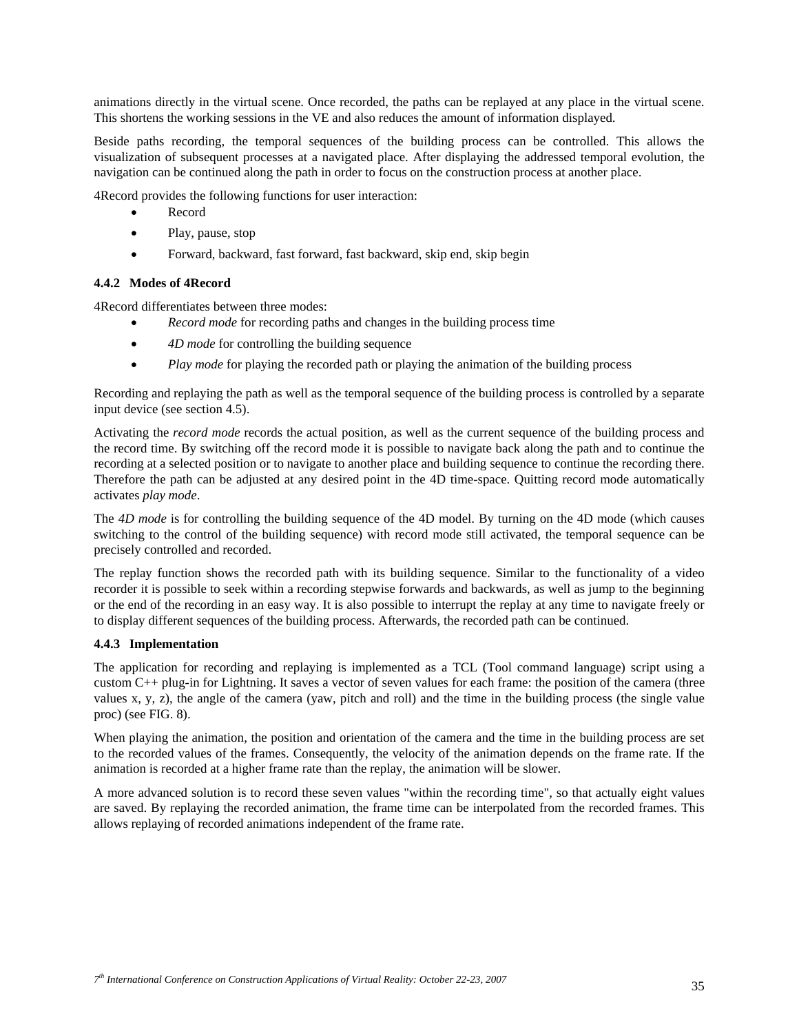animations directly in the virtual scene. Once recorded, the paths can be replayed at any place in the virtual scene. This shortens the working sessions in the VE and also reduces the amount of information displayed.

Beside paths recording, the temporal sequences of the building process can be controlled. This allows the visualization of subsequent processes at a navigated place. After displaying the addressed temporal evolution, the navigation can be continued along the path in order to focus on the construction process at another place.

4Record provides the following functions for user interaction:

- Record
- Play, pause, stop
- Forward, backward, fast forward, fast backward, skip end, skip begin

#### **4.4.2 Modes of 4Record**

4Record differentiates between three modes:

- *Record mode* for recording paths and changes in the building process time
- *4D mode* for controlling the building sequence
- *Play mode* for playing the recorded path or playing the animation of the building process

Recording and replaying the path as well as the temporal sequence of the building process is controlled by a separate input device (see section 4.5).

Activating the *record mode* records the actual position, as well as the current sequence of the building process and the record time. By switching off the record mode it is possible to navigate back along the path and to continue the recording at a selected position or to navigate to another place and building sequence to continue the recording there. Therefore the path can be adjusted at any desired point in the 4D time-space. Quitting record mode automatically activates *play mode*.

The *4D mode* is for controlling the building sequence of the 4D model. By turning on the 4D mode (which causes switching to the control of the building sequence) with record mode still activated, the temporal sequence can be precisely controlled and recorded.

The replay function shows the recorded path with its building sequence. Similar to the functionality of a video recorder it is possible to seek within a recording stepwise forwards and backwards, as well as jump to the beginning or the end of the recording in an easy way. It is also possible to interrupt the replay at any time to navigate freely or to display different sequences of the building process. Afterwards, the recorded path can be continued.

#### **4.4.3 Implementation**

The application for recording and replaying is implemented as a TCL (Tool command language) script using a custom C++ plug-in for Lightning. It saves a vector of seven values for each frame: the position of the camera (three values x, y, z), the angle of the camera (yaw, pitch and roll) and the time in the building process (the single value proc) (see FIG. 8).

When playing the animation, the position and orientation of the camera and the time in the building process are set to the recorded values of the frames. Consequently, the velocity of the animation depends on the frame rate. If the animation is recorded at a higher frame rate than the replay, the animation will be slower.

A more advanced solution is to record these seven values "within the recording time", so that actually eight values are saved. By replaying the recorded animation, the frame time can be interpolated from the recorded frames. This allows replaying of recorded animations independent of the frame rate.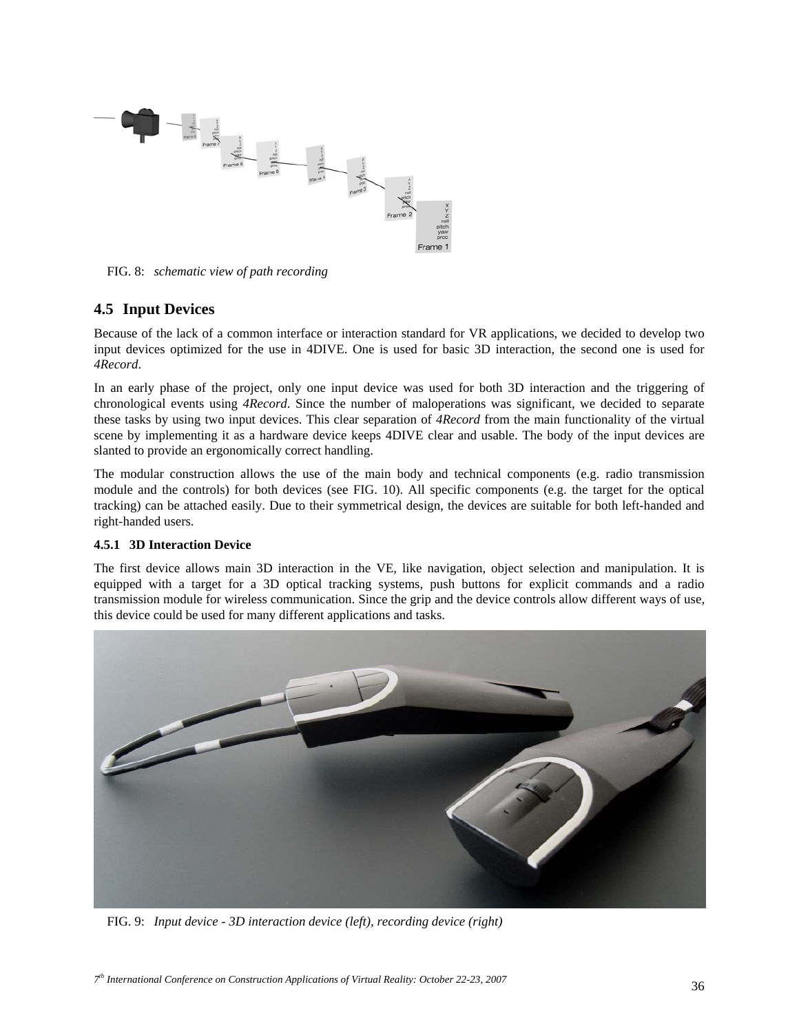

FIG. 8: *schematic view of path recording* 

# **4.5 Input Devices**

Because of the lack of a common interface or interaction standard for VR applications, we decided to develop two input devices optimized for the use in 4DIVE. One is used for basic 3D interaction, the second one is used for *4Record*.

In an early phase of the project, only one input device was used for both 3D interaction and the triggering of chronological events using *4Record*. Since the number of maloperations was significant, we decided to separate these tasks by using two input devices. This clear separation of *4Record* from the main functionality of the virtual scene by implementing it as a hardware device keeps 4DIVE clear and usable. The body of the input devices are slanted to provide an ergonomically correct handling.

The modular construction allows the use of the main body and technical components (e.g. radio transmission module and the controls) for both devices (see FIG. 10). All specific components (e.g. the target for the optical tracking) can be attached easily. Due to their symmetrical design, the devices are suitable for both left-handed and right-handed users.

### **4.5.1 3D Interaction Device**

The first device allows main 3D interaction in the VE, like navigation, object selection and manipulation. It is equipped with a target for a 3D optical tracking systems, push buttons for explicit commands and a radio transmission module for wireless communication. Since the grip and the device controls allow different ways of use, this device could be used for many different applications and tasks.



FIG. 9: *Input device - 3D interaction device (left), recording device (right)*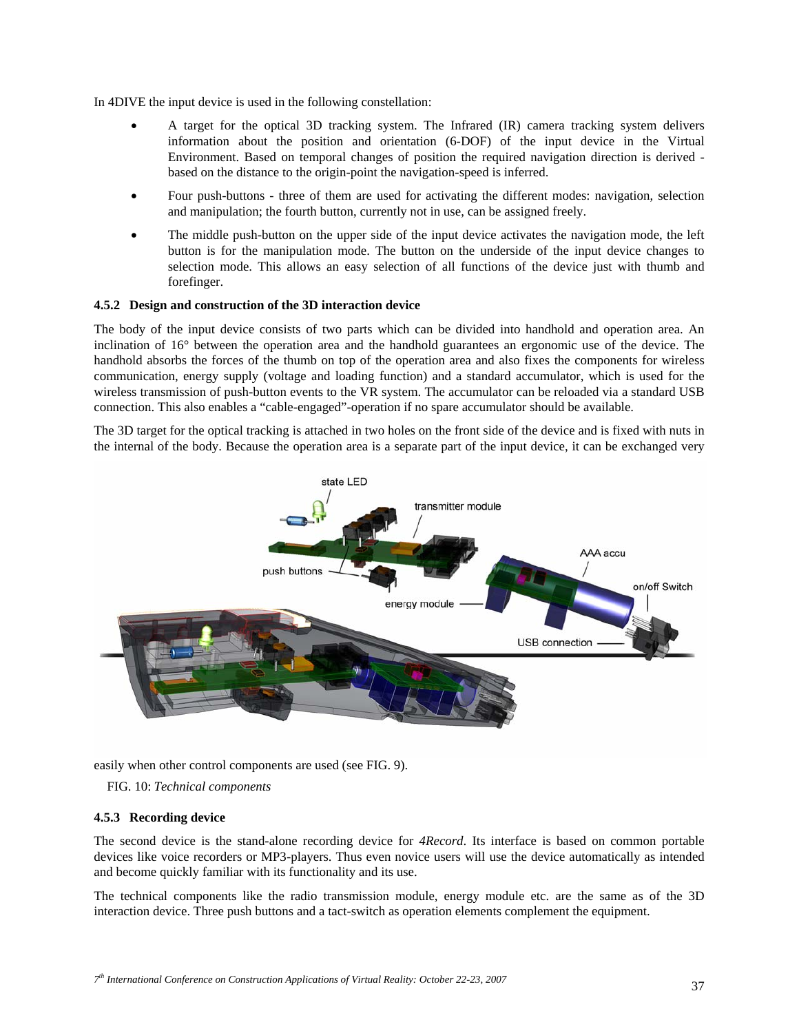In 4DIVE the input device is used in the following constellation:

- A target for the optical 3D tracking system. The Infrared (IR) camera tracking system delivers information about the position and orientation (6-DOF) of the input device in the Virtual Environment. Based on temporal changes of position the required navigation direction is derived based on the distance to the origin-point the navigation-speed is inferred.
- Four push-buttons three of them are used for activating the different modes: navigation, selection and manipulation; the fourth button, currently not in use, can be assigned freely.
- The middle push-button on the upper side of the input device activates the navigation mode, the left button is for the manipulation mode. The button on the underside of the input device changes to selection mode. This allows an easy selection of all functions of the device just with thumb and forefinger.

#### **4.5.2 Design and construction of the 3D interaction device**

The body of the input device consists of two parts which can be divided into handhold and operation area. An inclination of 16° between the operation area and the handhold guarantees an ergonomic use of the device. The handhold absorbs the forces of the thumb on top of the operation area and also fixes the components for wireless communication, energy supply (voltage and loading function) and a standard accumulator, which is used for the wireless transmission of push-button events to the VR system. The accumulator can be reloaded via a standard USB connection. This also enables a "cable-engaged"-operation if no spare accumulator should be available.

The 3D target for the optical tracking is attached in two holes on the front side of the device and is fixed with nuts in the internal of the body. Because the operation area is a separate part of the input device, it can be exchanged very



easily when other control components are used (see FIG. 9).

FIG. 10: *Technical components* 

#### **4.5.3 Recording device**

The second device is the stand-alone recording device for *4Record*. Its interface is based on common portable devices like voice recorders or MP3-players. Thus even novice users will use the device automatically as intended and become quickly familiar with its functionality and its use.

The technical components like the radio transmission module, energy module etc. are the same as of the 3D interaction device. Three push buttons and a tact-switch as operation elements complement the equipment.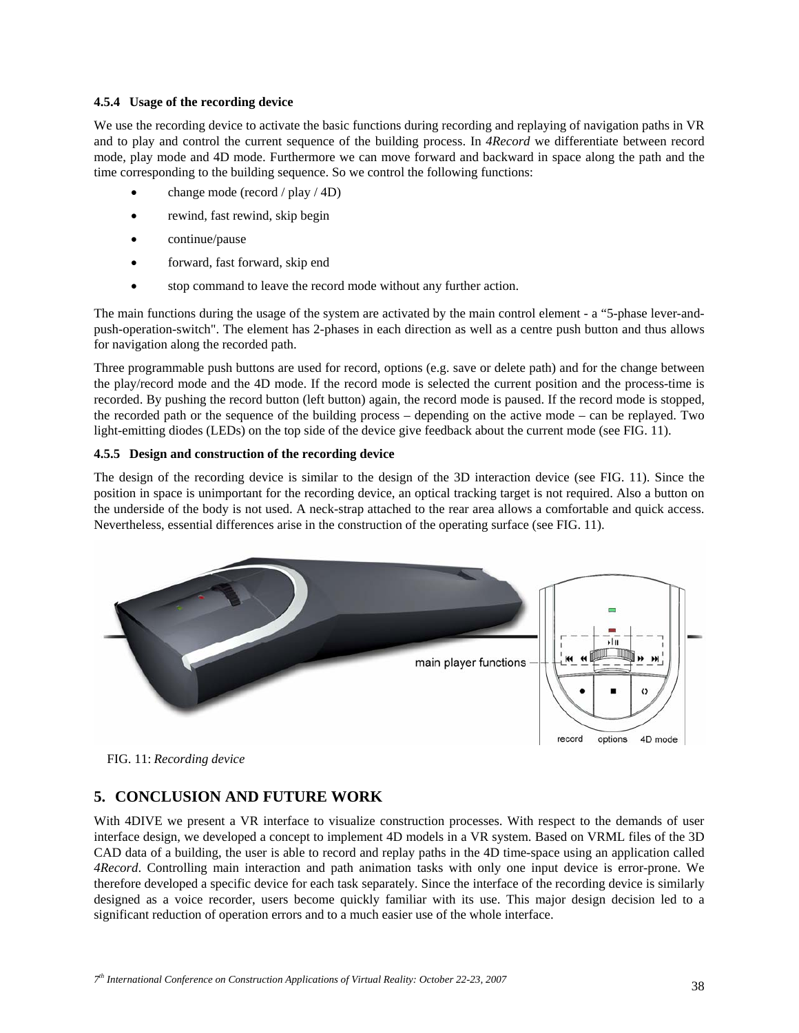#### **4.5.4 Usage of the recording device**

We use the recording device to activate the basic functions during recording and replaying of navigation paths in VR and to play and control the current sequence of the building process. In *4Record* we differentiate between record mode, play mode and 4D mode. Furthermore we can move forward and backward in space along the path and the time corresponding to the building sequence. So we control the following functions:

- change mode (record / play / 4D)
- rewind, fast rewind, skip begin
- continue/pause
- forward, fast forward, skip end
- stop command to leave the record mode without any further action.

The main functions during the usage of the system are activated by the main control element - a "5-phase lever-andpush-operation-switch". The element has 2-phases in each direction as well as a centre push button and thus allows for navigation along the recorded path.

Three programmable push buttons are used for record, options (e.g. save or delete path) and for the change between the play/record mode and the 4D mode. If the record mode is selected the current position and the process-time is recorded. By pushing the record button (left button) again, the record mode is paused. If the record mode is stopped, the recorded path or the sequence of the building process – depending on the active mode – can be replayed. Two light-emitting diodes (LEDs) on the top side of the device give feedback about the current mode (see FIG. 11).

### **4.5.5 Design and construction of the recording device**

The design of the recording device is similar to the design of the 3D interaction device (see FIG. 11). Since the position in space is unimportant for the recording device, an optical tracking target is not required. Also a button on the underside of the body is not used. A neck-strap attached to the rear area allows a comfortable and quick access. Nevertheless, essential differences arise in the construction of the operating surface (see FIG. 11).





# **5. CONCLUSION AND FUTURE WORK**

With 4DIVE we present a VR interface to visualize construction processes. With respect to the demands of user interface design, we developed a concept to implement 4D models in a VR system. Based on VRML files of the 3D CAD data of a building, the user is able to record and replay paths in the 4D time-space using an application called *4Record*. Controlling main interaction and path animation tasks with only one input device is error-prone. We therefore developed a specific device for each task separately. Since the interface of the recording device is similarly designed as a voice recorder, users become quickly familiar with its use. This major design decision led to a significant reduction of operation errors and to a much easier use of the whole interface.